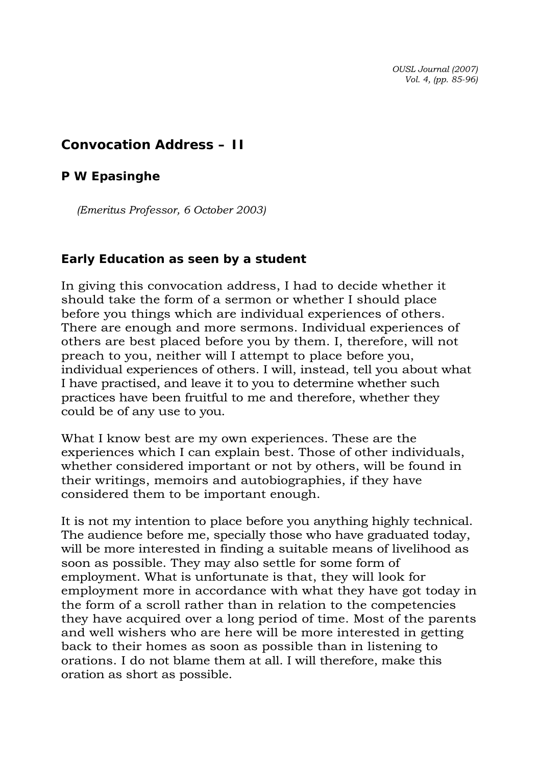*OUSL Journal (2007) Vol. 4, (pp. 85-96)* 

## **Convocation Address – II**

## *P W Epasinghe*

*(Emeritus Professor, 6 October 2003)* 

## **Early Education as seen by a student**

In giving this convocation address, I had to decide whether it should take the form of a sermon or whether I should place before you things which are individual experiences of others. There are enough and more sermons. Individual experiences of others are best placed before you by them. I, therefore, will not preach to you, neither will I attempt to place before you, individual experiences of others. I will, instead, tell you about what I have practised, and leave it to you to determine whether such practices have been fruitful to me and therefore, whether they could be of any use to you.

What I know best are my own experiences. These are the experiences which I can explain best. Those of other individuals, whether considered important or not by others, will be found in their writings, memoirs and autobiographies, if they have considered them to be important enough.

It is not my intention to place before you anything highly technical. The audience before me, specially those who have graduated today, will be more interested in finding a suitable means of livelihood as soon as possible. They may also settle for some form of employment. What is unfortunate is that, they will look for employment more in accordance with what they have got today in the form of a scroll rather than in relation to the competencies they have acquired over a long period of time. Most of the parents and well wishers who are here will be more interested in getting back to their homes as soon as possible than in listening to orations. I do not blame them at all. I will therefore, make this oration as short as possible.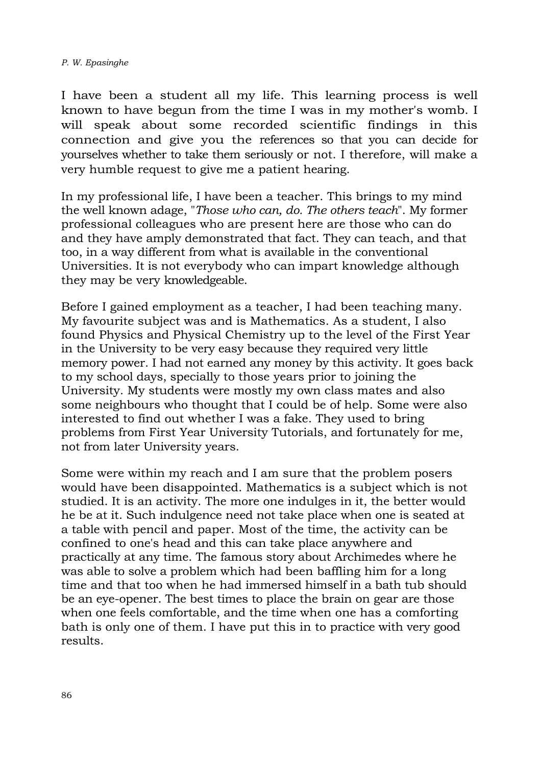## *P. W. Epasinghe*

I have been a student all my life. This learning process is well known to have begun from the time I was in my mother's womb. I will speak about some recorded scientific findings in this connection and give you the references so that you can decide for yourselves whether to take them seriously or not. I therefore, will make a very humble request to give me a patient hearing.

In my professional life, I have been a teacher. This brings to my mind the well known adage, "*Those who can, do. The others teach*". My former professional colleagues who are present here are those who can do and they have amply demonstrated that fact. They can teach, and that too, in a way different from what is available in the conventional Universities. It is not everybody who can impart knowledge although they may be very knowledgeable.

Before I gained employment as a teacher, I had been teaching many. My favourite subject was and is Mathematics. As a student, I also found Physics and Physical Chemistry up to the level of the First Year in the University to be very easy because they required very little memory power. I had not earned any money by this activity. It goes back to my school days, specially to those years prior to joining the University. My students were mostly my own class mates and also some neighbours who thought that I could be of help. Some were also interested to find out whether I was a fake. They used to bring problems from First Year University Tutorials, and fortunately for me, not from later University years.

Some were within my reach and I am sure that the problem posers would have been disappointed. Mathematics is a subject which is not studied. It is an activity. The more one indulges in it, the better would he be at it. Such indulgence need not take place when one is seated at a table with pencil and paper. Most of the time, the activity can be confined to one's head and this can take place anywhere and practically at any time. The famous story about Archimedes where he was able to solve a problem which had been baffling him for a long time and that too when he had immersed himself in a bath tub should be an eye-opener. The best times to place the brain on gear are those when one feels comfortable, and the time when one has a comforting bath is only one of them. I have put this in to practice with very good results.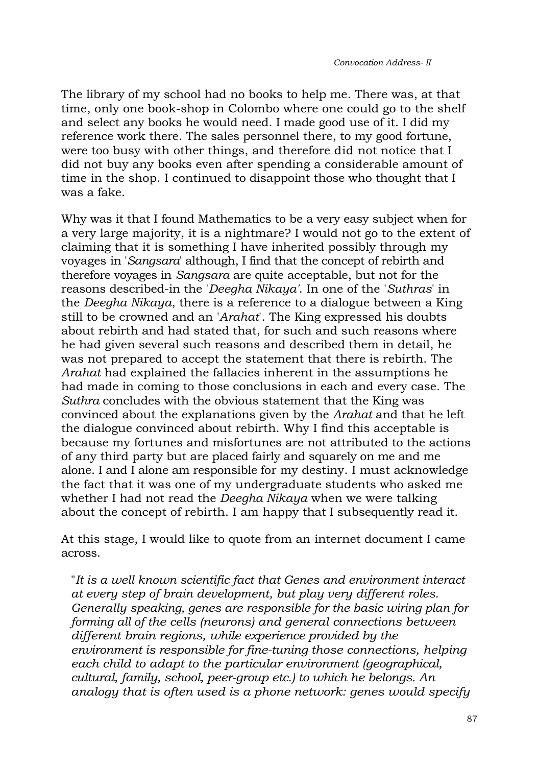The library of my school had no books to help me. There was, at that time, only one book-shop in Colombo where one could go to the shelf and select any books he would need. I made good use of it. I did my reference work there. The sales personnel there, to my good fortune, were too busy with other things, and therefore did not notice that I did not buy any books even after spending a considerable amount of time in the shop. I continued to disappoint those who thought that I was a fake.

Why was it that I found Mathematics to be a very easy subject when for a very large majority, it is a nightmare? I would not go to the extent of claiming that it is something I have inherited possibly through my voyages in '*Sangsara*' although, I find that the concept of rebirth and therefore voyages in *Sangsara* are quite acceptable, but not for the reasons described-in the '*Deegha Nikaya'*. In one of the '*Suthras*' in the *Deegha Nikaya*, there is a reference to a dialogue between a King still to be crowned and an '*Arahat*'. The King expressed his doubts about rebirth and had stated that, for such and such reasons where he had given several such reasons and described them in detail, he was not prepared to accept the statement that there is rebirth. The *Arahat* had explained the fallacies inherent in the assumptions he had made in coming to those conclusions in each and every case. The *Suthra* concludes with the obvious statement that the King was convinced about the explanations given by the *Arahat* and that he left the dialogue convinced about rebirth. Why I find this acceptable is because my fortunes and misfortunes are not attributed to the actions of any third party but are placed fairly and squarely on me and me alone. I and I alone am responsible for my destiny. I must acknowledge the fact that it was one of my undergraduate students who asked me whether I had not read the *Deegha Nikaya* when we were talking about the concept of rebirth. I am happy that I subsequently read it.

At this stage, I would like to quote from an internet document I came across.

"*It is a well known scientific fact that Genes and environment interact at every step of brain development, but play very different roles. Generally speaking, genes are responsible for the basic wiring plan for forming all of the cells (neurons) and general connections between different brain regions, while experience provided by the environment is responsible for fine-tuning those connections, helping each child to adapt to the particular environment (geographical, cultural, family, school, peer-group etc.) to which he belongs. An analogy that is often used is a phone network: genes would specify*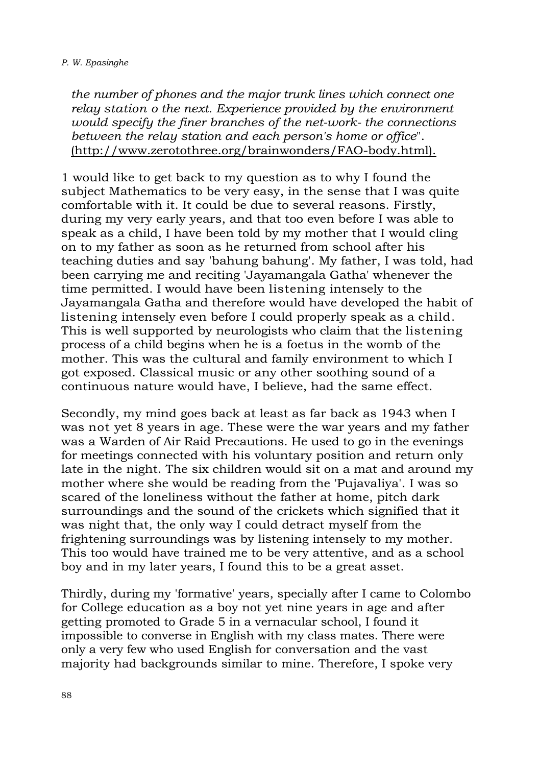*the number of phones and the major trunk lines which connect one relay station o the next. Experience provided by the environment would specify the finer branches of the net-work- the connections between the relay station and each person's home or office*". (http://www.zerotothree.org/brainwonders/FAO-body.html).

1 would like to get back to my question as to why I found the subject Mathematics to be very easy, in the sense that I was quite comfortable with it. It could be due to several reasons. Firstly, during my very early years, and that too even before I was able to speak as a child, I have been told by my mother that I would cling on to my father as soon as he returned from school after his teaching duties and say 'bahung bahung'. My father, I was told, had been carrying me and reciting 'Jayamangala Gatha' whenever the time permitted. I would have been listening intensely to the Jayamangala Gatha and therefore would have developed the habit of listening intensely even before I could properly speak as a child. This is well supported by neurologists who claim that the listening process of a child begins when he is a foetus in the womb of the mother. This was the cultural and family environment to which I got exposed. Classical music or any other soothing sound of a continuous nature would have, I believe, had the same effect.

Secondly, my mind goes back at least as far back as 1943 when I was not yet 8 years in age. These were the war years and my father was a Warden of Air Raid Precautions. He used to go in the evenings for meetings connected with his voluntary position and return only late in the night. The six children would sit on a mat and around my mother where she would be reading from the 'Pujavaliya'. I was so scared of the loneliness without the father at home, pitch dark surroundings and the sound of the crickets which signified that it was night that, the only way I could detract myself from the frightening surroundings was by listening intensely to my mother. This too would have trained me to be very attentive, and as a school boy and in my later years, I found this to be a great asset.

Thirdly, during my 'formative' years, specially after I came to Colombo for College education as a boy not yet nine years in age and after getting promoted to Grade 5 in a vernacular school, I found it impossible to converse in English with my class mates. There were only a very few who used English for conversation and the vast majority had backgrounds similar to mine. Therefore, I spoke very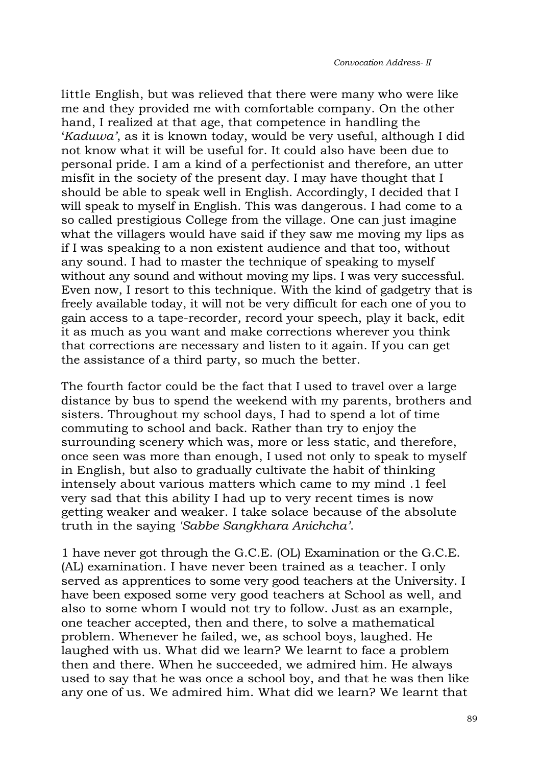little English, but was relieved that there were many who were like me and they provided me with comfortable company. On the other hand, I realized at that age, that competence in handling the '*Kaduwa'*, as it is known today, would be very useful, although I did not know what it will be useful for. It could also have been due to personal pride. I am a kind of a perfectionist and therefore, an utter misfit in the society of the present day. I may have thought that I should be able to speak well in English. Accordingly, I decided that I will speak to myself in English. This was dangerous. I had come to a so called prestigious College from the village. One can just imagine what the villagers would have said if they saw me moving my lips as if I was speaking to a non existent audience and that too, without any sound. I had to master the technique of speaking to myself without any sound and without moving my lips. I was very successful. Even now, I resort to this technique. With the kind of gadgetry that is freely available today, it will not be very difficult for each one of you to gain access to a tape-recorder, record your speech, play it back, edit it as much as you want and make corrections wherever you think that corrections are necessary and listen to it again. If you can get the assistance of a third party, so much the better.

The fourth factor could be the fact that I used to travel over a large distance by bus to spend the weekend with my parents, brothers and sisters. Throughout my school days, I had to spend a lot of time commuting to school and back. Rather than try to enjoy the surrounding scenery which was, more or less static, and therefore, once seen was more than enough, I used not only to speak to myself in English, but also to gradually cultivate the habit of thinking intensely about various matters which came to my mind .1 feel very sad that this ability I had up to very recent times is now getting weaker and weaker. I take solace because of the absolute truth in the saying *'Sabbe Sangkhara Anichcha'*.

1 have never got through the G.C.E. (OL) Examination or the G.C.E. (AL) examination. I have never been trained as a teacher. I only served as apprentices to some very good teachers at the University. I have been exposed some very good teachers at School as well, and also to some whom I would not try to follow. Just as an example, one teacher accepted, then and there, to solve a mathematical problem. Whenever he failed, we, as school boys, laughed. He laughed with us. What did we learn? We learnt to face a problem then and there. When he succeeded, we admired him. He always used to say that he was once a school boy, and that he was then like any one of us. We admired him. What did we learn? We learnt that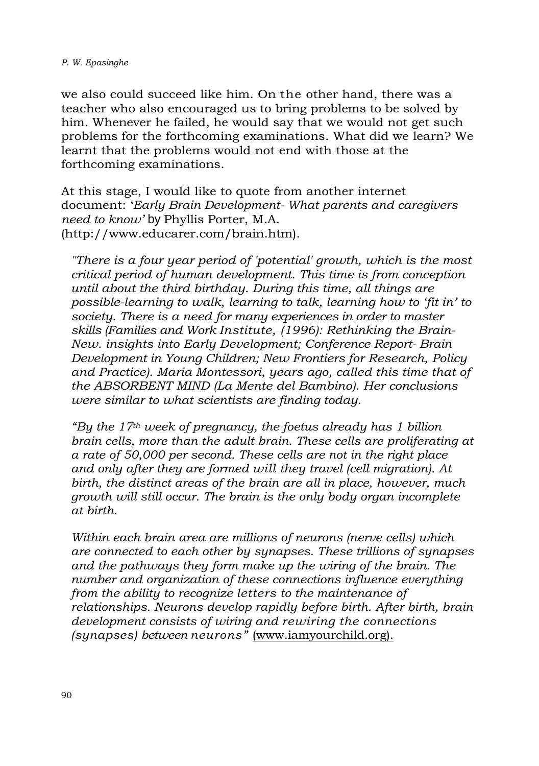we also could succeed like him. On the other hand, there was a teacher who also encouraged us to bring problems to be solved by him. Whenever he failed, he would say that we would not get such problems for the forthcoming examinations. What did we learn? We learnt that the problems would not end with those at the forthcoming examinations.

At this stage, I would like to quote from another internet document: '*Early Brain Development- What parents and caregivers need to know'* by Phyllis Porter, M.A. (http://www.educarer.com/brain.htm).

*"There is a four year period of 'potential' growth, which is the most critical period of human development. This time is from conception until about the third birthday. During this time, all things are possible-learning to walk, learning to talk, learning how to 'fit in' to society. There is a need for many experiences in order to master skills (Families and Work Institute, (1996): Rethinking the Brain-New. insights into Early Development; Conference Report- Brain Development in Young Children; New Frontiers for Research, Policy and Practice). Maria Montessori, years ago, called this time that of the ABSORBENT MIND (La Mente del Bambino). Her conclusions were similar to what scientists are finding today.*

*"By the 17th week of pregnancy, the foetus already has 1 billion brain cells, more than the adult brain. These cells are proliferating at a rate of 50,000 per second. These cells are not in the right place and only after they are formed will they travel (cell migration). At birth, the distinct areas of the brain are all in place, however, much growth will still occur. The brain is the only body organ incomplete at birth.*

*Within each brain area are millions of neurons (nerve cells) which are connected to each other by synapses. These trillions of synapses and the pathways they form make up the wiring of the brain. The number and organization of these connections influence everything from the ability to recognize letters to the maintenance of relationships. Neurons develop rapidly before birth. After birth, brain development consists of wiring and rewiring the connections (synapses) between neurons"* (www.iamyourchild.org).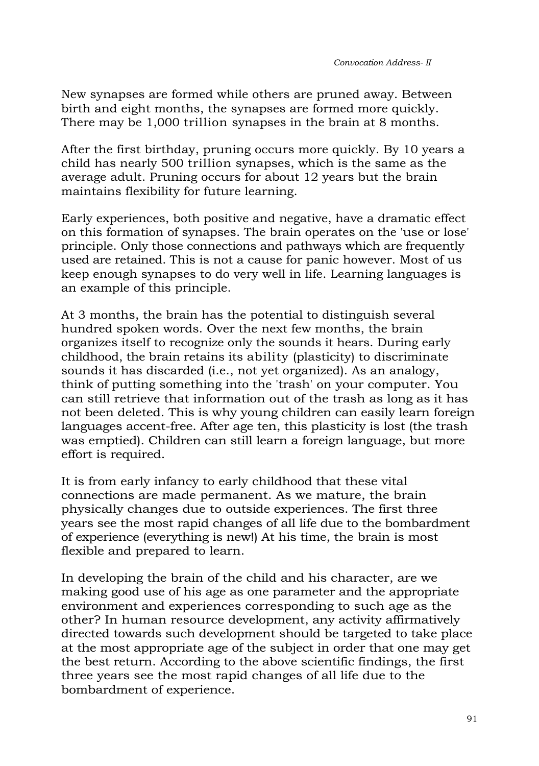New synapses are formed while others are pruned away. Between birth and eight months, the synapses are formed more quickly. There may be 1,000 trillion synapses in the brain at 8 months.

After the first birthday, pruning occurs more quickly. By 10 years a child has nearly 500 trillion synapses, which is the same as the average adult. Pruning occurs for about 12 years but the brain maintains flexibility for future learning.

Early experiences, both positive and negative, have a dramatic effect on this formation of synapses. The brain operates on the 'use or lose' principle. Only those connections and pathways which are frequently used are retained. This is not a cause for panic however. Most of us keep enough synapses to do very well in life. Learning languages is an example of this principle.

At 3 months, the brain has the potential to distinguish several hundred spoken words. Over the next few months, the brain organizes itself to recognize only the sounds it hears. During early childhood, the brain retains its ability (plasticity) to discriminate sounds it has discarded (i.e., not yet organized). As an analogy, think of putting something into the 'trash' on your computer. You can still retrieve that information out of the trash as long as it has not been deleted. This is why young children can easily learn foreign languages accent-free. After age ten, this plasticity is lost (the trash was emptied). Children can still learn a foreign language, but more effort is required.

It is from early infancy to early childhood that these vital connections are made permanent. As we mature, the brain physically changes due to outside experiences. The first three years see the most rapid changes of all life due to the bombardment of experience (everything is new!) At his time, the brain is most flexible and prepared to learn.

In developing the brain of the child and his character, are we making good use of his age as one parameter and the appropriate environment and experiences corresponding to such age as the other? In human resource development, any activity affirmatively directed towards such development should be targeted to take place at the most appropriate age of the subject in order that one may get the best return. According to the above scientific findings, the first three years see the most rapid changes of all life due to the bombardment of experience.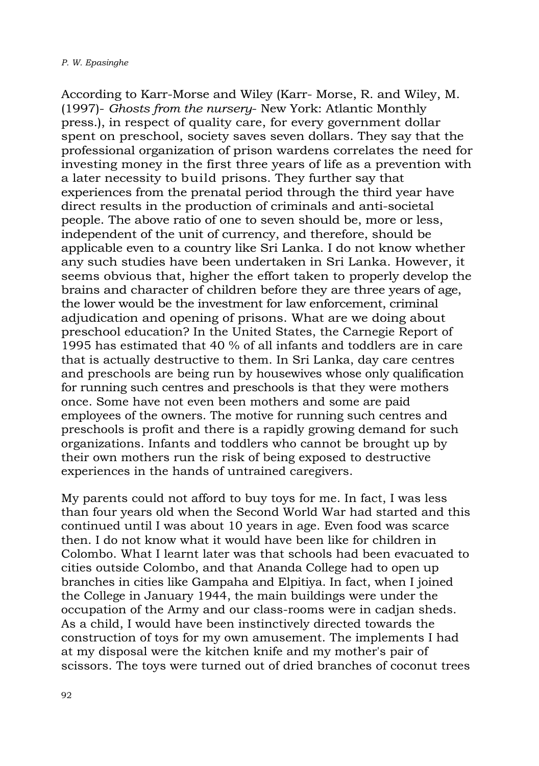According to Karr-Morse and Wiley (Karr- Morse, R. and Wiley, M. (1997)- *Ghosts from the nursery*- New York: Atlantic Monthly press.), in respect of quality care, for every government dollar spent on preschool, society saves seven dollars. They say that the professional organization of prison wardens correlates the need for investing money in the first three years of life as a prevention with a later necessity to build prisons. They further say that experiences from the prenatal period through the third year have direct results in the production of criminals and anti-societal people. The above ratio of one to seven should be, more or less, independent of the unit of currency, and therefore, should be applicable even to a country like Sri Lanka. I do not know whether any such studies have been undertaken in Sri Lanka. However, it seems obvious that, higher the effort taken to properly develop the brains and character of children before they are three years of age, the lower would be the investment for law enforcement, criminal adjudication and opening of prisons. What are we doing about preschool education? In the United States, the Carnegie Report of 1995 has estimated that 40 % of all infants and toddlers are in care that is actually destructive to them. In Sri Lanka, day care centres and preschools are being run by housewives whose only qualification for running such centres and preschools is that they were mothers once. Some have not even been mothers and some are paid employees of the owners. The motive for running such centres and preschools is profit and there is a rapidly growing demand for such organizations. Infants and toddlers who cannot be brought up by their own mothers run the risk of being exposed to destructive experiences in the hands of untrained caregivers.

My parents could not afford to buy toys for me. In fact, I was less than four years old when the Second World War had started and this continued until I was about 10 years in age. Even food was scarce then. I do not know what it would have been like for children in Colombo. What I learnt later was that schools had been evacuated to cities outside Colombo, and that Ananda College had to open up branches in cities like Gampaha and Elpitiya. In fact, when I joined the College in January 1944, the main buildings were under the occupation of the Army and our class-rooms were in cadjan sheds. As a child, I would have been instinctively directed towards the construction of toys for my own amusement. The implements I had at my disposal were the kitchen knife and my mother's pair of scissors. The toys were turned out of dried branches of coconut trees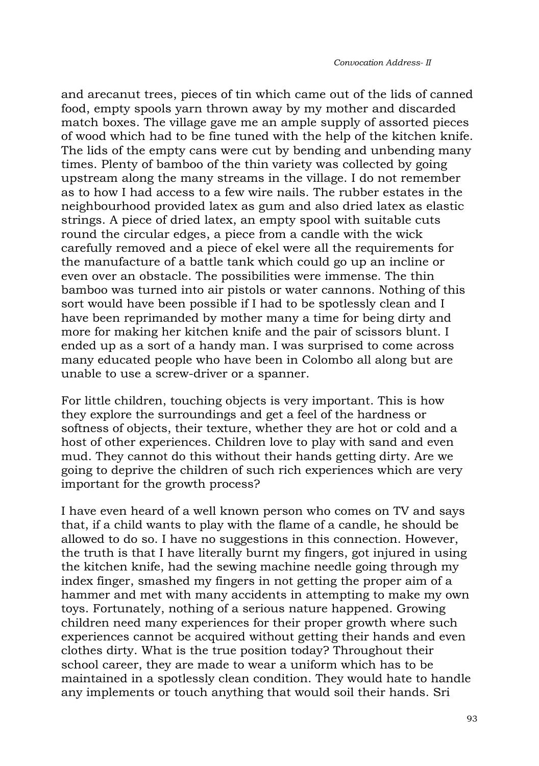and arecanut trees, pieces of tin which came out of the lids of canned food, empty spools yarn thrown away by my mother and discarded match boxes. The village gave me an ample supply of assorted pieces of wood which had to be fine tuned with the help of the kitchen knife. The lids of the empty cans were cut by bending and unbending many times. Plenty of bamboo of the thin variety was collected by going upstream along the many streams in the village. I do not remember as to how I had access to a few wire nails. The rubber estates in the neighbourhood provided latex as gum and also dried latex as elastic strings. A piece of dried latex, an empty spool with suitable cuts round the circular edges, a piece from a candle with the wick carefully removed and a piece of ekel were all the requirements for the manufacture of a battle tank which could go up an incline or even over an obstacle. The possibilities were immense. The thin bamboo was turned into air pistols or water cannons. Nothing of this sort would have been possible if I had to be spotlessly clean and I have been reprimanded by mother many a time for being dirty and more for making her kitchen knife and the pair of scissors blunt. I ended up as a sort of a handy man. I was surprised to come across many educated people who have been in Colombo all along but are unable to use a screw-driver or a spanner.

For little children, touching objects is very important. This is how they explore the surroundings and get a feel of the hardness or softness of objects, their texture, whether they are hot or cold and a host of other experiences. Children love to play with sand and even mud. They cannot do this without their hands getting dirty. Are we going to deprive the children of such rich experiences which are very important for the growth process?

I have even heard of a well known person who comes on TV and says that, if a child wants to play with the flame of a candle, he should be allowed to do so. I have no suggestions in this connection. However, the truth is that I have literally burnt my fingers, got injured in using the kitchen knife, had the sewing machine needle going through my index finger, smashed my fingers in not getting the proper aim of a hammer and met with many accidents in attempting to make my own toys. Fortunately, nothing of a serious nature happened. Growing children need many experiences for their proper growth where such experiences cannot be acquired without getting their hands and even clothes dirty. What is the true position today? Throughout their school career, they are made to wear a uniform which has to be maintained in a spotlessly clean condition. They would hate to handle any implements or touch anything that would soil their hands. Sri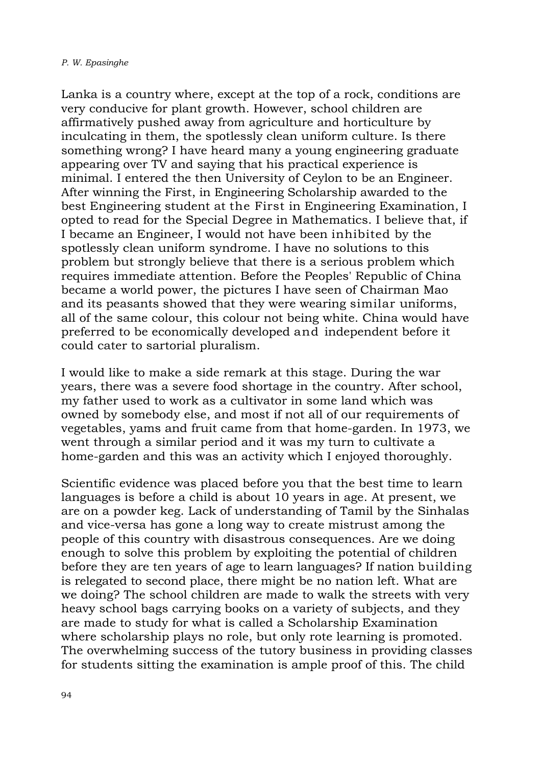Lanka is a country where, except at the top of a rock, conditions are very conducive for plant growth. However, school children are affirmatively pushed away from agriculture and horticulture by inculcating in them, the spotlessly clean uniform culture. Is there something wrong? I have heard many a young engineering graduate appearing over TV and saying that his practical experience is minimal. I entered the then University of Ceylon to be an Engineer. After winning the First, in Engineering Scholarship awarded to the best Engineering student at the First in Engineering Examination, I opted to read for the Special Degree in Mathematics. I believe that, if I became an Engineer, I would not have been inhibited by the spotlessly clean uniform syndrome. I have no solutions to this problem but strongly believe that there is a serious problem which requires immediate attention. Before the Peoples' Republic of China became a world power, the pictures I have seen of Chairman Mao and its peasants showed that they were wearing similar uniforms, all of the same colour, this colour not being white. China would have preferred to be economically developed and independent before it could cater to sartorial pluralism.

I would like to make a side remark at this stage. During the war years, there was a severe food shortage in the country. After school, my father used to work as a cultivator in some land which was owned by somebody else, and most if not all of our requirements of vegetables, yams and fruit came from that home-garden. In 1973, we went through a similar period and it was my turn to cultivate a home-garden and this was an activity which I enjoyed thoroughly.

Scientific evidence was placed before you that the best time to learn languages is before a child is about 10 years in age. At present, we are on a powder keg. Lack of understanding of Tamil by the Sinhalas and vice-versa has gone a long way to create mistrust among the people of this country with disastrous consequences. Are we doing enough to solve this problem by exploiting the potential of children before they are ten years of age to learn languages? If nation building is relegated to second place, there might be no nation left. What are we doing? The school children are made to walk the streets with very heavy school bags carrying books on a variety of subjects, and they are made to study for what is called a Scholarship Examination where scholarship plays no role, but only rote learning is promoted. The overwhelming success of the tutory business in providing classes for students sitting the examination is ample proof of this. The child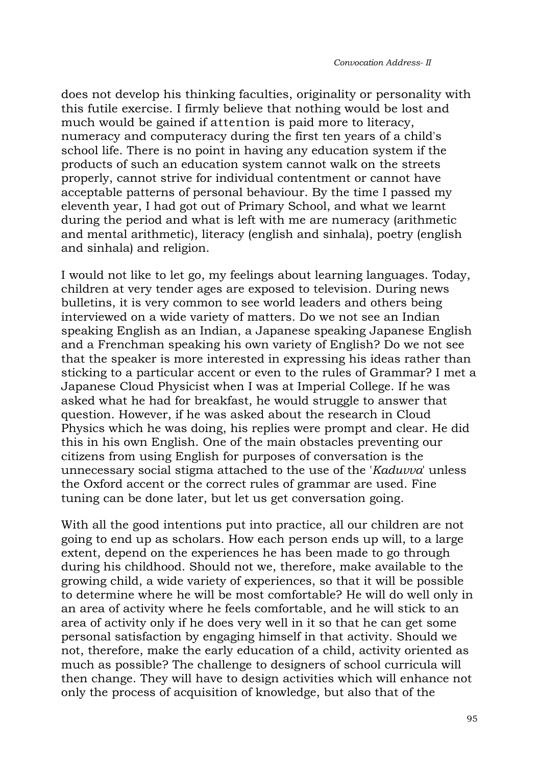does not develop his thinking faculties, originality or personality with this futile exercise. I firmly believe that nothing would be lost and much would be gained if attention is paid more to literacy, numeracy and computeracy during the first ten years of a child's school life. There is no point in having any education system if the products of such an education system cannot walk on the streets properly, cannot strive for individual contentment or cannot have acceptable patterns of personal behaviour. By the time I passed my eleventh year, I had got out of Primary School, and what we learnt during the period and what is left with me are numeracy (arithmetic and mental arithmetic), literacy (english and sinhala), poetry (english and sinhala) and religion.

I would not like to let go, my feelings about learning languages. Today, children at very tender ages are exposed to television. During news bulletins, it is very common to see world leaders and others being interviewed on a wide variety of matters. Do we not see an Indian speaking English as an Indian, a Japanese speaking Japanese English and a Frenchman speaking his own variety of English? Do we not see that the speaker is more interested in expressing his ideas rather than sticking to a particular accent or even to the rules of Grammar? I met a Japanese Cloud Physicist when I was at Imperial College. If he was asked what he had for breakfast, he would struggle to answer that question. However, if he was asked about the research in Cloud Physics which he was doing, his replies were prompt and clear. He did this in his own English. One of the main obstacles preventing our citizens from using English for purposes of conversation is the unnecessary social stigma attached to the use of the '*Kaduvva*' unless the Oxford accent or the correct rules of grammar are used. Fine tuning can be done later, but let us get conversation going.

With all the good intentions put into practice, all our children are not going to end up as scholars. How each person ends up will, to a large extent, depend on the experiences he has been made to go through during his childhood. Should not we, therefore, make available to the growing child, a wide variety of experiences, so that it will be possible to determine where he will be most comfortable? He will do well only in an area of activity where he feels comfortable, and he will stick to an area of activity only if he does very well in it so that he can get some personal satisfaction by engaging himself in that activity. Should we not, therefore, make the early education of a child, activity oriented as much as possible? The challenge to designers of school curricula will then change. They will have to design activities which will enhance not only the process of acquisition of knowledge, but also that of the